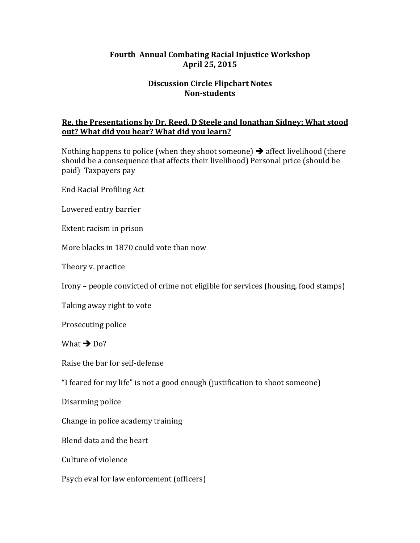### **Fourth Annual Combating Racial Injustice Workshop April 25, 2015**

## **Discussion Circle Flipchart Notes Non-students**

## **Re. the Presentations by Dr. Reed, D Steele and Jonathan Sidney: What stood out?** What did you hear? What did you learn?

Nothing happens to police (when they shoot someone)  $\rightarrow$  affect livelihood (there should be a consequence that affects their livelihood) Personal price (should be paid) Taxpayers pay

End Racial Profiling Act

Lowered entry barrier

Extent racism in prison

More blacks in 1870 could vote than now

Theory v. practice

Irony – people convicted of crime not eligible for services (housing, food stamps)

Taking away right to vote

Prosecuting police

What  $\rightarrow$  Do?

Raise the bar for self-defense

"I feared for my life" is not a good enough (justification to shoot someone)

Disarming police

Change in police academy training

Blend data and the heart

Culture of violence

Psych eval for law enforcement (officers)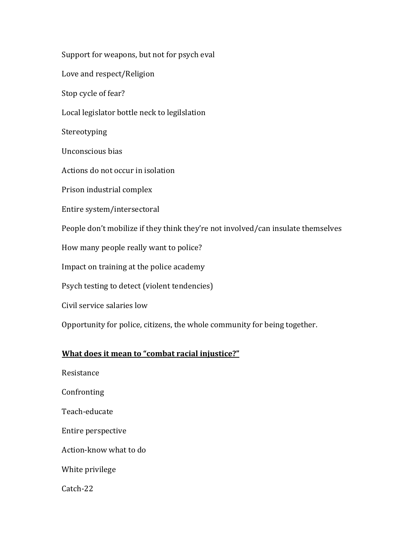Support for weapons, but not for psych eval Love and respect/Religion Stop cycle of fear? Local legislator bottle neck to legilslation Stereotyping Unconscious bias Actions do not occur in isolation Prison industrial complex Entire system/intersectoral People don't mobilize if they think they're not involved/can insulate themselves How many people really want to police? Impact on training at the police academy Psych testing to detect (violent tendencies) Civil service salaries low Opportunity for police, citizens, the whole community for being together.

### **What does it mean to "combat racial injustice?"**

Resistance Confronting Teach-educate Entire perspective Action-know what to do White privilege Catch-22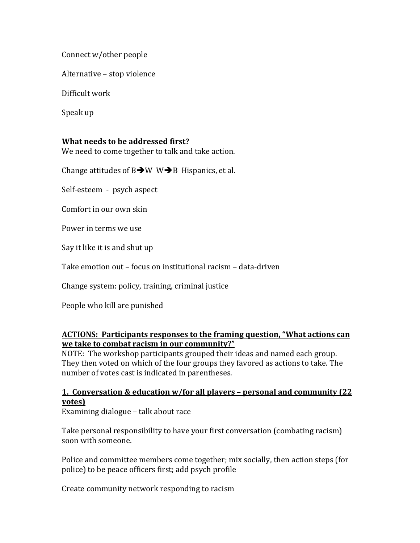Connect w/other people

Alternative - stop violence

Difficult work

Speak up

### **What needs to be addressed first?**

We need to come together to talk and take action.

Change attitudes of  $B\rightarrow W$  W $\rightarrow B$  Hispanics, et al.

Self-esteem - psych aspect

Comfort in our own skin

Power in terms we use

Say it like it is and shut up

Take emotion out – focus on institutional racism – data-driven

Change system: policy, training, criminal justice

People who kill are punished

#### **ACTIONS: Participants responses to the framing question, "What actions can we take to combat racism in our community?"**

NOTE: The workshop participants grouped their ideas and named each group. They then voted on which of the four groups they favored as actions to take. The number of votes cast is indicated in parentheses.

## **1. Conversation & education w/for all players - personal and community (22) votes)**

Examining dialogue - talk about race

Take personal responsibility to have your first conversation (combating racism) soon with someone.

Police and committee members come together; mix socially, then action steps (for police) to be peace officers first; add psych profile

Create community network responding to racism